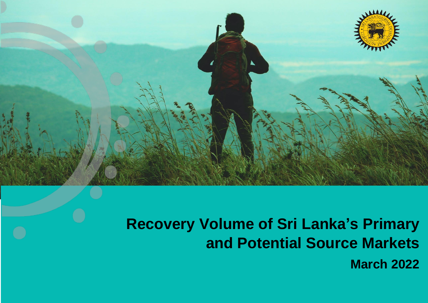

## **Recovery Volume of Sri Lanka's Primary and Potential Source Markets**

**March 2022**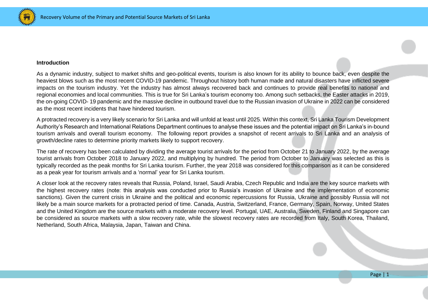

## **Introduction**

As a dynamic industry, subject to market shifts and geo-political events, tourism is also known for its ability to bounce back, even despite the heaviest blows such as the most recent COVID-19 pandemic. Throughout history both human made and natural disasters have inflicted severe impacts on the tourism industry. Yet the industry has almost always recovered back and continues to provide real benefits to national and regional economies and local communities. This is true for Sri Lanka's tourism economy too. Among such setbacks, the Easter attacks in 2019, the on-going COVID- 19 pandemic and the massive decline in outbound travel due to the Russian invasion of Ukraine in 2022 can be considered as the most recent incidents that have hindered tourism.

A protracted recovery is a very likely scenario for Sri Lanka and will unfold at least until 2025. Within this context, Sri Lanka Tourism Development Authority's Research and International Relations Department continues to analyse these issues and the potential impact on Sri Lanka's in-bound tourism arrivals and overall tourism economy. The following report provides a snapshot of recent arrivals to Sri Lanka and an analysis of growth/decline rates to determine priority markets likely to support recovery.

The rate of recovery has been calculated by dividing the average tourist arrivals for the period from October 21 to January 2022, by the average tourist arrivals from October 2018 to January 2022, and multiplying by hundred. The period from October to January was selected as this is typically recorded as the peak months for Sri Lanka tourism. Further, the year 2018 was considered for this comparison as it can be considered as a peak year for tourism arrivals and a 'normal' year for Sri Lanka tourism.

A closer look at the recovery rates reveals that Russia, Poland, Israel, Saudi Arabia, Czech Republic and India are the key source markets with the highest recovery rates (note: this analysis was conducted prior to Russia's invasion of Ukraine and the implementation of economic sanctions). Given the current crisis in Ukraine and the political and economic repercussions for Russia, Ukraine and possibly Russia will not likely be a main source markets for a protracted period of time. Canada, Austria, Switzerland, France, Germany, Spain, Norway, United States and the United Kingdom are the source markets with a moderate recovery level. Portugal, UAE, Australia, Sweden, Finland and Singapore can be considered as source markets with a slow recovery rate, while the slowest recovery rates are recorded from Italy, South Korea, Thailand, Netherland, South Africa, Malaysia, Japan, Taiwan and China.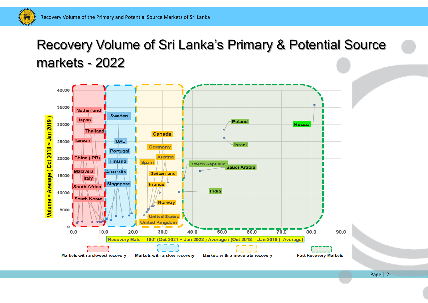**RANCH CONTROLLER** 

## Recovery Volume of Sri Lanka's Primary & Potential Source markets - 2022



Page | 2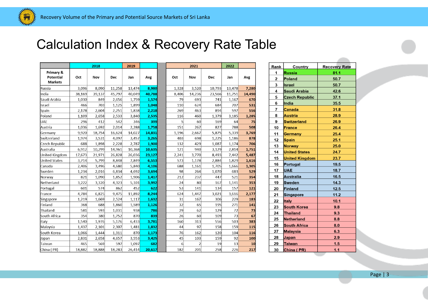mine 美元

## Calculation Index & Recovery Rate Table

2022

Jan

13,478

 $11,751$ 

 $1,167$ 

707

597

 $64$ 

788

 $5,339$ 

 $1,186$ 

 $1,174$ 

 $2,814$ 

 $7,442$ 

 $1,829$ 

1,666

683

 $521$ 

157

 $229$ 

 $271$ 

 $72$ 

 $73$ 

 $503$ 

159

 $104$ 

 $92$ 

 $13$  $226$ 

 $3,616$ 

 $1,141$ 

 $3,185$ 

Avg

7,280

14,490

670

531

556

75

508

878

706

1,751

5,487

1,616

1,305

529 354

353

121  $2,177$ 

183

141

73

 $67$ 

383

115

116 100

 $\frac{10}{217}$ 

3,769

1,285

Dec

10,793

23,566

741

684

894

 $1,379$ 

169

827

5,875

1,225

1,087

3,129

8,493

2,884

1,705

1,070

447

167

134

306

195

129

109 556

158

120

159

 $19$ 

258

3,021

 $3,520$ 

14,236

693

624

463

460

60

267

698

429

 $940$ 

3,770

1,178

 $1,161$ 

264

237

80

 $141$ 

167

65

62

60

313 97

162

103

201

 $\vert$  2

1,447

2,667

|                                          | 2018   |        |        | 2019   |        |                | 2021  |
|------------------------------------------|--------|--------|--------|--------|--------|----------------|-------|
| Primary &<br>Potential<br><b>Markets</b> | Oct    | Nov    | Dec    | Jan    | Avg    | Oct            | Nov   |
| Russia                                   | 3,096  | 8,090  | 11,258 | 13,474 | 8,980  | 1,328          | 3,52  |
| India                                    | 38,169 | 39,137 | 45,797 | 40,049 | 40,788 | 8,406          | 14,23 |
| Saudi Arabia                             | 1,030  | 849    | 2,656  | 1,759  | 1,574  | 79             | 69    |
| Israel                                   | 466    | 703    | 1,125  | 1,899  | 1,048  | 110            | 62    |
| Spain                                    | 2,178  | 2,604  | 2,251  | 1,838  | 2,218  | 269            | 46    |
| Poland                                   | 1,109  | 2,658  | 2,533  | 3,840  | 2,535  | 116            | 46    |
| <b>UAE</b>                               | 296    | 412    | 542    | 346    | 399    | $\overline{5}$ | 6     |
| Austria                                  | 1,036  | 1,692  | 2,014  | 2,288  | 1,758  | 151            | 26    |
| Germany                                  | 9,920  | 18,754 | 16,624 | 14,027 | 14,831 | 1,196          | 2,66  |
| Switzerland                              | 1,974  | 3,531  | 4,097  | 3,457  | 3,265  | 403            | 69    |
| Czech Republic                           | 688    | 1,898  | 2,228  | 2,787  | 1,900  | 132            | 42    |
| Australia                                | 6,912  | 10,299 | 14,961 | 10,368 | 10,635 | 121            | 94    |
| United Kingdom                           | 17,673 | 21,971 | 26,828 | 26,036 | 23,127 | 2,241          | 3,77  |
| <b>United States</b>                     | 3,714  | 5,799  | 8,848  | 7,849  | 6,553  | 573            | 1,17  |
| Canada                                   | 2,406  | 3,496  | 4,680  | 5,840  | 4,106  | 688            | 1,16  |
| Sweden                                   | 1,234  | 2,016  | 6,834  | 4,692  | 3,694  | 98             | 26    |
| Norway                                   | 821    | 1,090  | 1,852  | 1,906  | 1,417  | 212            | 23    |
| Netherland                               | 3,222  | 3,320  | 4,323  | 5,101  | 3,992  | 24             | 8     |
| Portugal                                 | 601    | 574    | 862    | 452    | 622    | 53             | 14    |
| France                                   | 4,784  | 6,825  | 9,475  | 11,892 | 8,244  | 624            | 1,44  |
| Singapore                                | 1,219  | 1,669  | 2,524  | 1,117  | 1,632  | 31             | 16    |
| Finland                                  | 368    | 688    | 1,860  | 1,589  | 1,126  | 32             | 6     |
| Thailand                                 | 581    | 593    | 1,031  | 938    | 786    | 29             | 6     |
| South Africa                             | 354    | 380    | 1,752  | 870    | 839    | 26             | 6     |
| Italy                                    | 1,540  | 1,976  | 5,176  | 6,433  | 3,781  | 160            | 31    |
| Malaysia                                 | 1,437  | 2,101  | 2,307  | 1,481  | 1,832  | 44             | 9     |
| South Korea                              | 1,066  | 1,444  | 1,311  | 870    | 1,173  | 76             | 16    |
| Japan                                    | 2,831  | 2,658  | 4,657  | 3,553  | 3,425  | 45             | 10    |
| Taiwan                                   | 465    | 569    | 597    | 1,097  | 682    | $\overline{6}$ |       |
| China (PR)                               | 18,882 | 18,888 | 18,283 | 26,414 | 20,617 | 182            | 20    |

| Rank           | <b>Country</b>        | <b>Recovery Rate</b> |
|----------------|-----------------------|----------------------|
| 1              | <b>Russia</b>         | 81.1                 |
| $\overline{2}$ | <b>Poland</b>         | 50.7                 |
| 3              | <b>Israel</b>         | 50.7                 |
| 4              | Saudi Arabia          | 42.6                 |
| 5              | <b>Czech Republic</b> | 37.1                 |
| 6              | India                 | 35.5                 |
| 7              | <b>Canada</b>         | 31.8                 |
| 8              | <b>Austria</b>        | 28.9                 |
| 9              | <b>Switzerland</b>    | 26.9                 |
| 10             | <b>France</b>         | 26.4                 |
| 11             | <b>Germany</b>        | 25.4                 |
| 12             | <b>Spain</b>          | 25.1                 |
| 13             | <b>Norway</b>         | 25.0                 |
| 14             | <b>United States</b>  | 24.7                 |
| 15             | <b>United Kingdom</b> | 23.7                 |
| 16             | Portugal              | 19.5                 |
| 17             | <b>UAE</b>            | 18.7                 |
| 18             | Australia             | 16.5                 |
| 19             | <b>Sweden</b>         | 14.3                 |
| 20             | <b>Finland</b>        | 12.5                 |
| 21             | <b>Singapore</b>      | 11.2                 |
| 22             | <b>Italy</b>          | 10.1                 |
| 23             | <b>South Korea</b>    | 9.8                  |
| 24             | <b>Thailand</b>       | 9.3                  |
| 25             | <b>Netherland</b>     | 8.8                  |
| 26             | <b>South Africa</b>   | 8.0                  |
| 27             | <b>Malaysia</b>       | 6.3                  |
| 28             | Japan                 | 2.9                  |
| 29             | <b>Taiwan</b>         | 1.5                  |
| 30             | China (PR)            | 1.1                  |

 $\frac{1}{2} \left( \frac{1}{2} \right) \left( \frac{1}{2} \right) \left( \frac{1}{2} \right)$